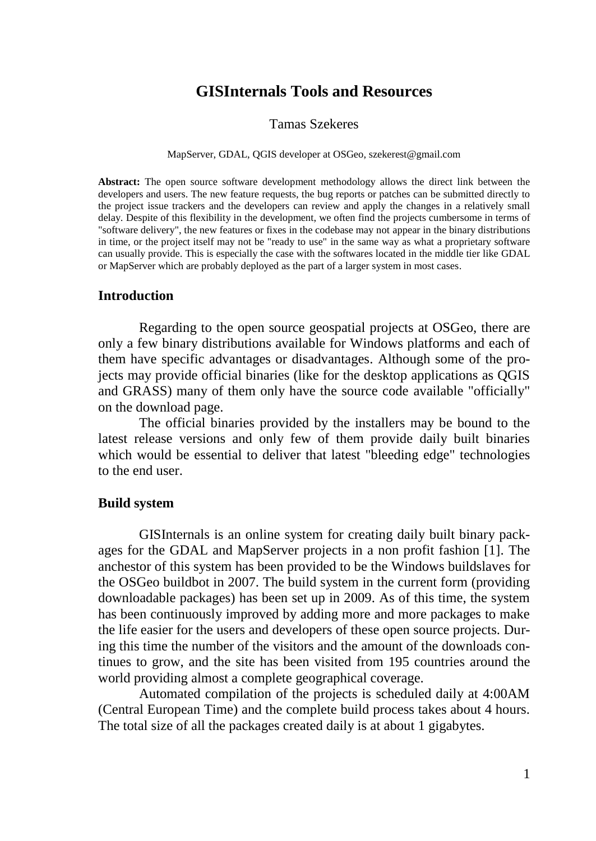# **GISInternals Tools and Resources**

### Tamas Szekeres

#### MapServer, GDAL, QGIS developer at OSGeo, szekerest@gmail.com

**Abstract:** The open source software development methodology allows the direct link between the developers and users. The new feature requests, the bug reports or patches can be submitted directly to the project issue trackers and the developers can review and apply the changes in a relatively small delay. Despite of this flexibility in the development, we often find the projects cumbersome in terms of "software delivery", the new features or fixes in the codebase may not appear in the binary distributions in time, or the project itself may not be "ready to use" in the same way as what a proprietary software can usually provide. This is especially the case with the softwares located in the middle tier like GDAL or MapServer which are probably deployed as the part of a larger system in most cases.

### **Introduction**

Regarding to the open source geospatial projects at OSGeo, there are only a few binary distributions available for Windows platforms and each of them have specific advantages or disadvantages. Although some of the projects may provide official binaries (like for the desktop applications as QGIS and GRASS) many of them only have the source code available "officially" on the download page.

The official binaries provided by the installers may be bound to the latest release versions and only few of them provide daily built binaries which would be essential to deliver that latest "bleeding edge" technologies to the end user.

#### **Build system**

GISInternals is an online system for creating daily built binary packages for the GDAL and MapServer projects in a non profit fashion [1]. The anchestor of this system has been provided to be the Windows buildslaves for the OSGeo buildbot in 2007. The build system in the current form (providing downloadable packages) has been set up in 2009. As of this time, the system has been continuously improved by adding more and more packages to make the life easier for the users and developers of these open source projects. During this time the number of the visitors and the amount of the downloads continues to grow, and the site has been visited from 195 countries around the world providing almost a complete geographical coverage.

Automated compilation of the projects is scheduled daily at 4:00AM (Central European Time) and the complete build process takes about 4 hours. The total size of all the packages created daily is at about 1 gigabytes.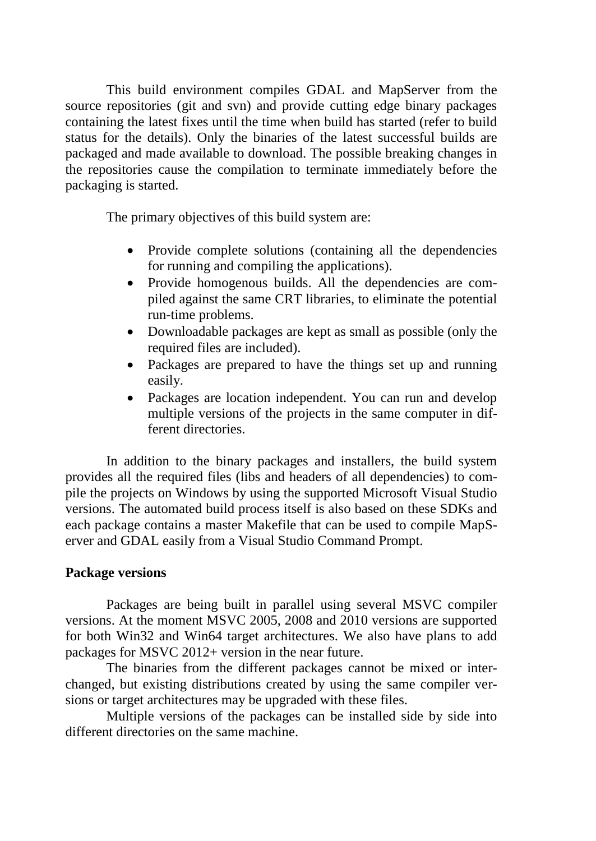This build environment compiles GDAL and MapServer from the source repositories (git and svn) and provide cutting edge binary packages containing the latest fixes until the time when build has started (refer to build status for the details). Only the binaries of the latest successful builds are packaged and made available to download. The possible breaking changes in the repositories cause the compilation to terminate immediately before the packaging is started.

The primary objectives of this build system are:

- Provide complete solutions (containing all the dependencies for running and compiling the applications).
- Provide homogenous builds. All the dependencies are compiled against the same CRT libraries, to eliminate the potential run-time problems.
- Downloadable packages are kept as small as possible (only the required files are included).
- Packages are prepared to have the things set up and running easily.
- Packages are location independent. You can run and develop multiple versions of the projects in the same computer in different directories.

In addition to the binary packages and installers, the build system provides all the required files (libs and headers of all dependencies) to compile the projects on Windows by using the supported Microsoft Visual Studio versions. The automated build process itself is also based on these SDKs and each package contains a master Makefile that can be used to compile MapServer and GDAL easily from a Visual Studio Command Prompt.

# **Package versions**

Packages are being built in parallel using several MSVC compiler versions. At the moment MSVC 2005, 2008 and 2010 versions are supported for both Win32 and Win64 target architectures. We also have plans to add packages for MSVC 2012+ version in the near future.

The binaries from the different packages cannot be mixed or interchanged, but existing distributions created by using the same compiler versions or target architectures may be upgraded with these files.

Multiple versions of the packages can be installed side by side into different directories on the same machine.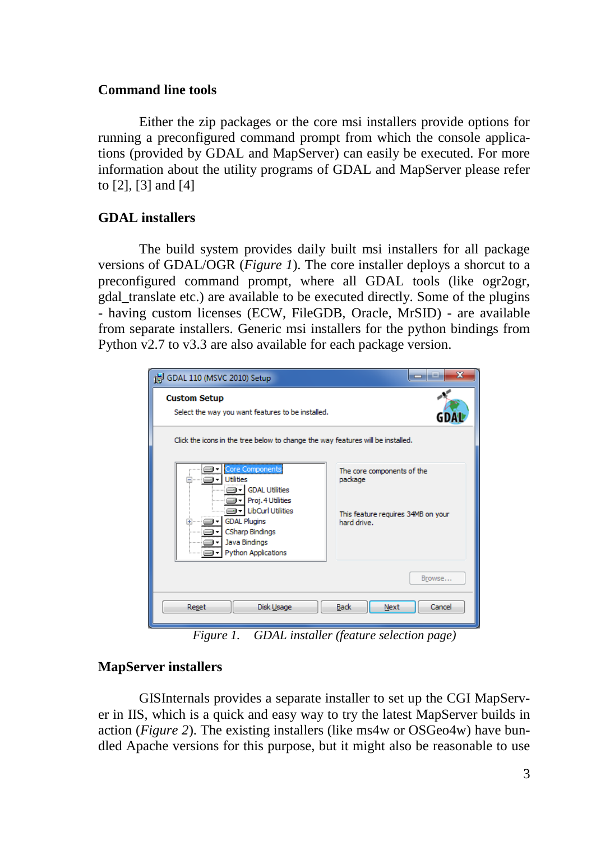## **Command line tools**

Either the zip packages or the core msi installers provide options for running a preconfigured command prompt from which the console applications (provided by GDAL and MapServer) can easily be executed. For more information about the utility programs of GDAL and MapServer please refer to [2], [3] and [4]

# **GDAL installers**

The build system provides daily built msi installers for all package versions of GDAL/OGR (*Figure 1*). The core installer deploys a shorcut to a preconfigured command prompt, where all GDAL tools (like ogr2ogr, gdal\_translate etc.) are available to be executed directly. Some of the plugins - having custom licenses (ECW, FileGDB, Oracle, MrSID) - are available from separate installers. Generic msi installers for the python bindings from Python v2.7 to v3.3 are also available for each package version.

| GDAL 110 (MSVC 2010) Setup                                                                                                                                                                                                        | х<br>$\equiv$                                                                              |
|-----------------------------------------------------------------------------------------------------------------------------------------------------------------------------------------------------------------------------------|--------------------------------------------------------------------------------------------|
| <b>Custom Setup</b><br>Select the way you want features to be installed.                                                                                                                                                          |                                                                                            |
| Click the icons in the tree below to change the way features will be installed.                                                                                                                                                   |                                                                                            |
| Core Components<br>⊒⊩<br><b>Utilities</b><br><b>GDAL Utilities</b><br><br>۰<br>Proj. 4 Utilities<br>.<br>- LibCurl Utilities<br><b>GDAL Plugins</b><br><b>F</b><br><b>CSharp Bindings</b><br>Java Bindings<br>Python Applications | The core components of the<br>package<br>This feature requires 34MB on your<br>hard drive. |
|                                                                                                                                                                                                                                   | Browse                                                                                     |
| Reset<br>Disk Usage                                                                                                                                                                                                               | <b>Back</b><br>Cancel<br>Next                                                              |

*Figure 1. GDAL installer (feature selection page)*

# **MapServer installers**

GISInternals provides a separate installer to set up the CGI MapServer in IIS, which is a quick and easy way to try the latest MapServer builds in action (*Figure 2*). The existing installers (like ms4w or OSGeo4w) have bundled Apache versions for this purpose, but it might also be reasonable to use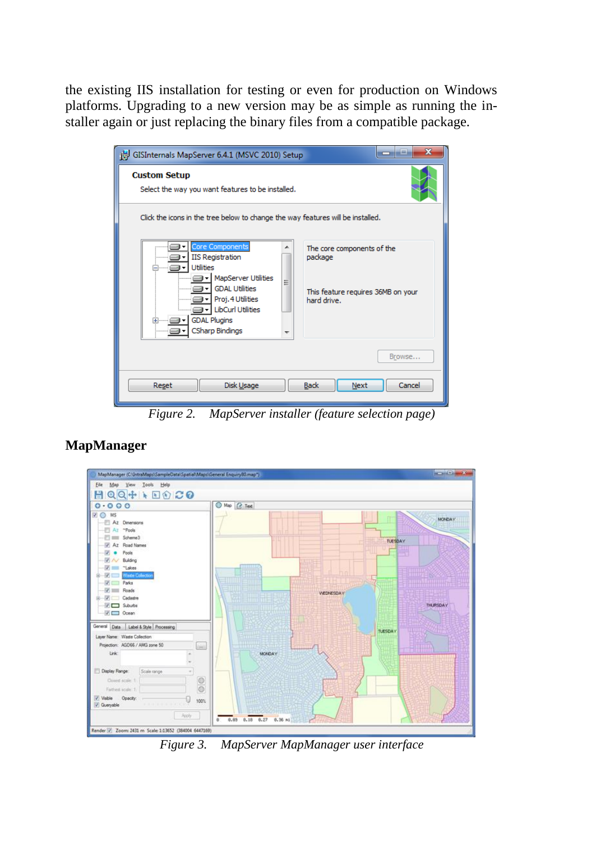the existing IIS installation for testing or even for production on Windows platforms. Upgrading to a new version may be as simple as running the installer again or just replacing the binary files from a compatible package.

| GISInternals MapServer 6.4.1 (MSVC 2010) Setup |                                                                                                                                                                   |        |                                                                                            | $\overline{\mathbf{x}}$<br>والرد |
|------------------------------------------------|-------------------------------------------------------------------------------------------------------------------------------------------------------------------|--------|--------------------------------------------------------------------------------------------|----------------------------------|
| <b>Custom Setup</b>                            | Select the way you want features to be installed.                                                                                                                 |        |                                                                                            |                                  |
|                                                | Click the icons in the tree below to change the way features will be installed.                                                                                   |        |                                                                                            |                                  |
|                                                | Core Components<br><b>IIS Registration</b><br><b>Utilities</b><br><b>MapServer Utilities</b><br><b>GDAL Utilities</b><br>Proj. 4 Utilities<br>- LibCurl Utilities | ۸<br>Ξ | The core components of the<br>package<br>This feature requires 36MB on your<br>hard drive. |                                  |
| ⊞ <sup>……</sup> ⊟l▼                            | <b>GDAL Plugins</b><br><b>CSharp Bindings</b>                                                                                                                     |        |                                                                                            | Browse                           |
| Reset                                          | Disk Usage                                                                                                                                                        |        | <b>Back</b><br>Next                                                                        | Cancel                           |

*Figure 2. MapServer installer (feature selection page)*



# **MapManager**

*Figure 3. MapServer MapManager user interface*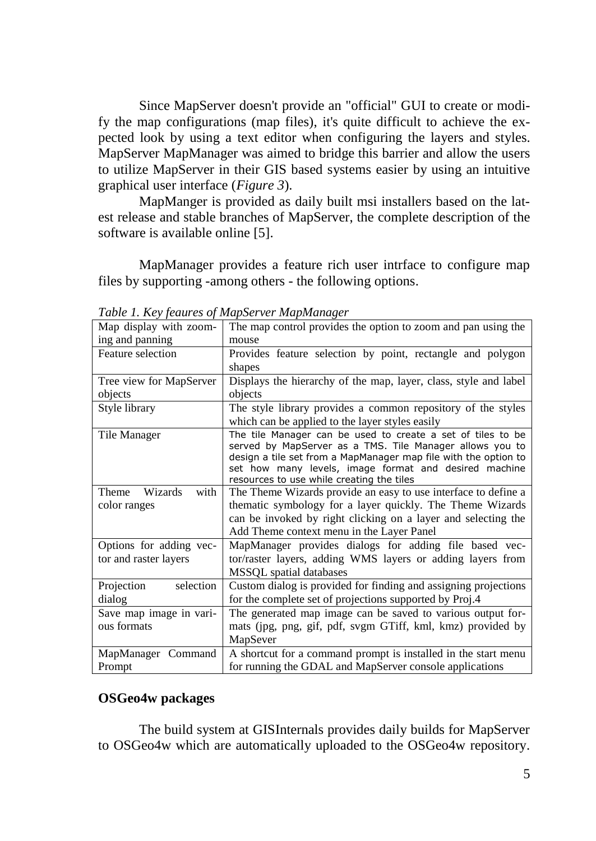Since MapServer doesn't provide an "official" GUI to create or modify the map configurations (map files), it's quite difficult to achieve the expected look by using a text editor when configuring the layers and styles. MapServer MapManager was aimed to bridge this barrier and allow the users to utilize MapServer in their GIS based systems easier by using an intuitive graphical user interface (*Figure 3*).

MapManger is provided as daily built msi installers based on the latest release and stable branches of MapServer, the complete description of the software is available online [5].

MapManager provides a feature rich user intrface to configure map files by supporting -among others - the following options.

| Map display with zoom-   | The map control provides the option to zoom and pan using the                                                                                                                                                                                                                                    |
|--------------------------|--------------------------------------------------------------------------------------------------------------------------------------------------------------------------------------------------------------------------------------------------------------------------------------------------|
| ing and panning          | mouse                                                                                                                                                                                                                                                                                            |
| Feature selection        | Provides feature selection by point, rectangle and polygon                                                                                                                                                                                                                                       |
|                          | shapes                                                                                                                                                                                                                                                                                           |
| Tree view for MapServer  | Displays the hierarchy of the map, layer, class, style and label                                                                                                                                                                                                                                 |
| objects                  | objects                                                                                                                                                                                                                                                                                          |
| Style library            | The style library provides a common repository of the styles                                                                                                                                                                                                                                     |
|                          | which can be applied to the layer styles easily                                                                                                                                                                                                                                                  |
| Tile Manager             | The tile Manager can be used to create a set of tiles to be<br>served by MapServer as a TMS. Tile Manager allows you to<br>design a tile set from a MapManager map file with the option to<br>set how many levels, image format and desired machine<br>resources to use while creating the tiles |
| Wizards<br>with<br>Theme | The Theme Wizards provide an easy to use interface to define a                                                                                                                                                                                                                                   |
| color ranges             | thematic symbology for a layer quickly. The Theme Wizards                                                                                                                                                                                                                                        |
|                          | can be invoked by right clicking on a layer and selecting the                                                                                                                                                                                                                                    |
|                          | Add Theme context menu in the Layer Panel                                                                                                                                                                                                                                                        |
| Options for adding vec-  | MapManager provides dialogs for adding file based vec-                                                                                                                                                                                                                                           |
| tor and raster layers    | tor/raster layers, adding WMS layers or adding layers from                                                                                                                                                                                                                                       |
|                          | MSSQL spatial databases                                                                                                                                                                                                                                                                          |
| selection<br>Projection  | Custom dialog is provided for finding and assigning projections                                                                                                                                                                                                                                  |
| dialog                   | for the complete set of projections supported by Proj.4                                                                                                                                                                                                                                          |
| Save map image in vari-  | The generated map image can be saved to various output for-                                                                                                                                                                                                                                      |
| ous formats              | mats (jpg, png, gif, pdf, svgm GTiff, kml, kmz) provided by                                                                                                                                                                                                                                      |
|                          | MapSever                                                                                                                                                                                                                                                                                         |
| MapManager Command       | A shortcut for a command prompt is installed in the start menu                                                                                                                                                                                                                                   |
| Prompt                   | for running the GDAL and MapServer console applications                                                                                                                                                                                                                                          |

*Table 1. Key feaures of MapServer MapManager*

## **OSGeo4w packages**

The build system at GISInternals provides daily builds for MapServer to OSGeo4w which are automatically uploaded to the OSGeo4w repository.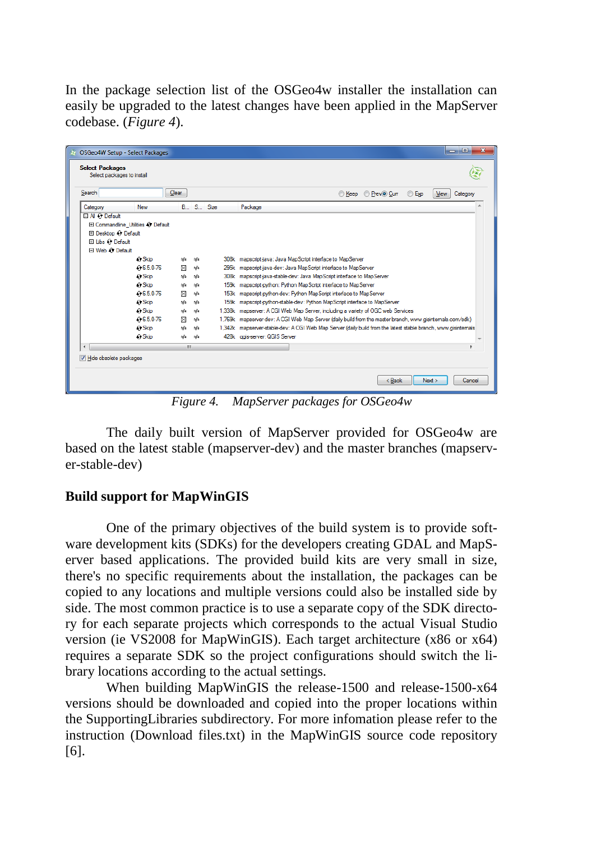In the package selection list of the OSGeo4w installer the installation can easily be upgraded to the latest changes have been applied in the MapServer codebase. (*Figure 4*).

| Search               |                                    | Clear       |     |              | Keep PrevO Curr<br>© Exp<br>View<br>Category                                                                  |
|----------------------|------------------------------------|-------------|-----|--------------|---------------------------------------------------------------------------------------------------------------|
| Category             | <b>New</b>                         |             |     | B., S., Size | Package                                                                                                       |
| 日 All O Default      |                                    |             |     |              |                                                                                                               |
|                      | El Commandline Utilities O Default |             |     |              |                                                                                                               |
| El Desktop & Default |                                    |             |     |              |                                                                                                               |
| 田 Libs 3 Default     |                                    |             |     |              |                                                                                                               |
| Fl Web C Default     |                                    |             |     |              |                                                                                                               |
|                      | ∩ Skip                             | nja         | nja |              | 308k mapscript-java: Java MapScript interface to MapServer                                                    |
|                      | $6.5.0 - 76$                       | $\times$    | nja |              | 295k mapscript-java-dev: Java MapScript interface to MapServer                                                |
|                      | 41 Skip                            | nía         | nía |              | 308k mapscript-java-stable-dev; Java MapScript interface to MapServer                                         |
|                      | ← Skip                             | nja         | nía |              | 159k mapscript-python: Python MapScript interface to MapServer                                                |
|                      | € 6.5.0-76                         | $\boxtimes$ | nía |              | 153k mapscript-python-dev: Python MapScript interface to MapServer                                            |
|                      | $\bigcap$ Skip                     | nía         | nía |              | 159k mapscript-python-stable-dev: Python MapScript interface to MapServer                                     |
|                      | $\bigcap$ Skip                     | nja         | nía |              | 1,338k mapserver: A CGI Web Map Server, including a variety of OGC web Services                               |
|                      | $0.650 - 76$                       | $\boxtimes$ | nía |              | 1,769k mapserver-dev: A CGI Web Map Server (daily build from the master branch, www.gisintemals.com/sdk)      |
|                      | ← Skip                             | nía         | nía |              | 1.342k mapserver-stable-dev: A CGI Web Map Server (daily build from the latest stable branch, www.gisintemals |
|                      | 4+ Skip                            | nja         | nja |              | 428k aais-server: QGIS Server                                                                                 |
|                      |                                    | m.          |     |              |                                                                                                               |

*Figure 4. MapServer packages for OSGeo4w*

The daily built version of MapServer provided for OSGeo4w are based on the latest stable (mapserver-dev) and the master branches (mapserver-stable-dev)

## **Build support for MapWinGIS**

One of the primary objectives of the build system is to provide software development kits (SDKs) for the developers creating GDAL and MapServer based applications. The provided build kits are very small in size, there's no specific requirements about the installation, the packages can be copied to any locations and multiple versions could also be installed side by side. The most common practice is to use a separate copy of the SDK directory for each separate projects which corresponds to the actual Visual Studio version (ie VS2008 for MapWinGIS). Each target architecture (x86 or x64) requires a separate SDK so the project configurations should switch the library locations according to the actual settings.

When building MapWinGIS the release-1500 and release-1500-x64 versions should be downloaded and copied into the proper locations within the SupportingLibraries subdirectory. For more infomation please refer to the instruction (Download files.txt) in the MapWinGIS source code repository [6].